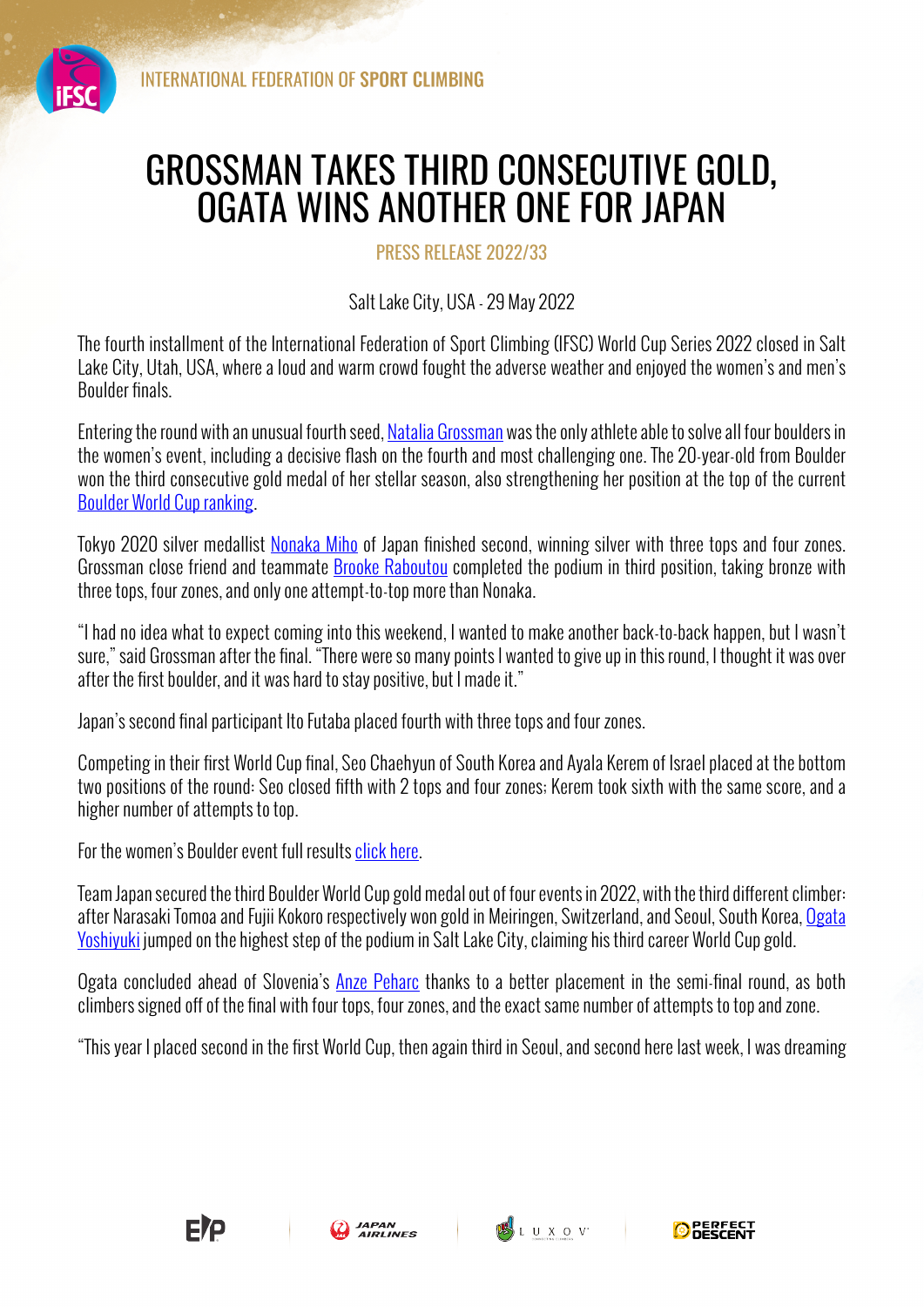

## GROSSMAN TAKES THIRD CONSECUTIVE GOLD, OGATA WINS ANOTHER ONE FOR JAPAN

PRESS RELEASE 2022/33

Salt Lake City, USA - 29 May 2022

The fourth installment of the International Federation of Sport Climbing (IFSC) World Cup Series 2022 closed in Salt Lake City, Utah, USA, where a loud and warm crowd fought the adverse weather and enjoyed the women's and men's Boulder finals.

Entering the round with an unusual fourth seed, Natalia Grossman was the only athlete able to solve all four boulders in the women's event, including a decisive flash on the fourth and most challenging one. The 20-year-old from Boulder won the third consecutive gold medal of her stellar season, also strengthening her position at the top of the current Boulder World Cup ranking.

Tokyo 2020 silver medallist Nonaka Miho of Japan finished second, winning silver with three tops and four zones. Grossman close friend and teammate Brooke Raboutou completed the podium in third position, taking bronze with three tops, four zones, and only one attempt-to-top more than Nonaka.

"I had no idea what to expect coming into this weekend, I wanted to make another back-to-back happen, but I wasn't sure," said Grossman after the final. "There were so many points I wanted to give up in this round, I thought it was over after the first boulder, and it was hard to stay positive, but I made it."

Japan's second final participant Ito Futaba placed fourth with three tops and four zones.

Competing in their first World Cup final, Seo Chaehyun of South Korea and Ayala Kerem of Israel placed at the bottom two positions of the round: Seo closed fifth with 2 tops and four zones; Kerem took sixth with the same score, and a higher number of attempts to top.

For the women's Boulder event full results click here.

Team Japan secured the third Boulder World Cup gold medal out of four events in 2022, with the third different climber: after Narasaki Tomoa and Fujii Kokoro respectively won gold in Meiringen, Switzerland, and Seoul, South Korea, Ogata Yoshiyuki jumped on the highest step of the podium in Salt Lake City, claiming his third career World Cup gold.

Ogata concluded ahead of Slovenia's Anze Peharc thanks to a better placement in the semi-final round, as both climbers signed off of the final with four tops, four zones, and the exact same number of attempts to top and zone.

"This year I placed second in the first World Cup, then again third in Seoul, and second here last week, I was dreaming